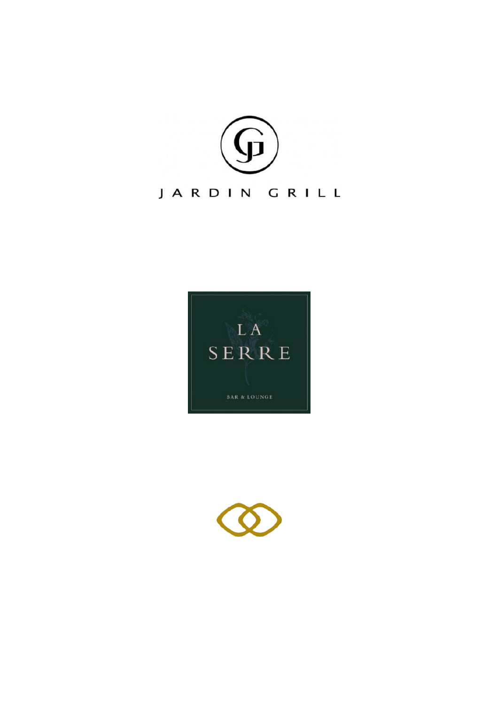



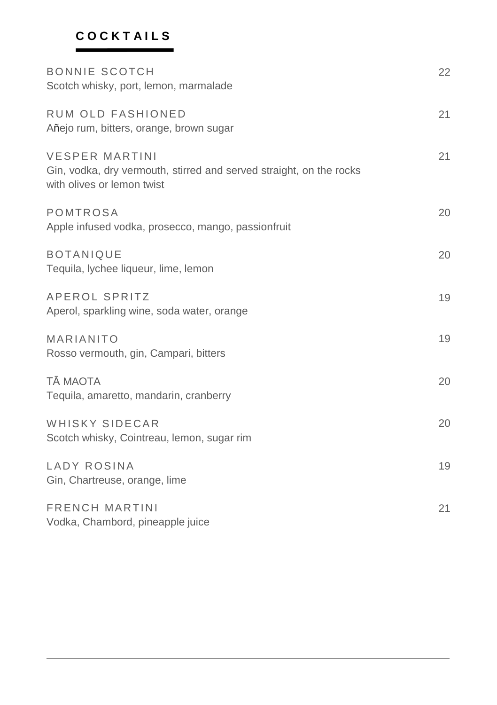## **C O C K T A I L S**

| <b>BONNIE SCOTCH</b><br>Scotch whisky, port, lemon, marmalade                                                              | 22 |
|----------------------------------------------------------------------------------------------------------------------------|----|
| RUM OLD FASHIONED<br>Añejo rum, bitters, orange, brown sugar                                                               | 21 |
| <b>VESPER MARTINI</b><br>Gin, vodka, dry vermouth, stirred and served straight, on the rocks<br>with olives or lemon twist | 21 |
| POMTROSA<br>Apple infused vodka, prosecco, mango, passionfruit                                                             | 20 |
| <b>BOTANIQUE</b><br>Tequila, lychee liqueur, lime, lemon                                                                   | 20 |
| APEROL SPRITZ<br>Aperol, sparkling wine, soda water, orange                                                                | 19 |
| MARIANITO<br>Rosso vermouth, gin, Campari, bitters                                                                         | 19 |
| <b>TĀ MAOTA</b><br>Tequila, amaretto, mandarin, cranberry                                                                  | 20 |
| WHISKY SIDECAR<br>Scotch whisky, Cointreau, lemon, sugar rim                                                               | 20 |
| LADY ROSINA<br>Gin, Chartreuse, orange, lime                                                                               | 19 |
| <b>FRENCH MARTINI</b><br>Vodka, Chambord, pineapple juice                                                                  | 21 |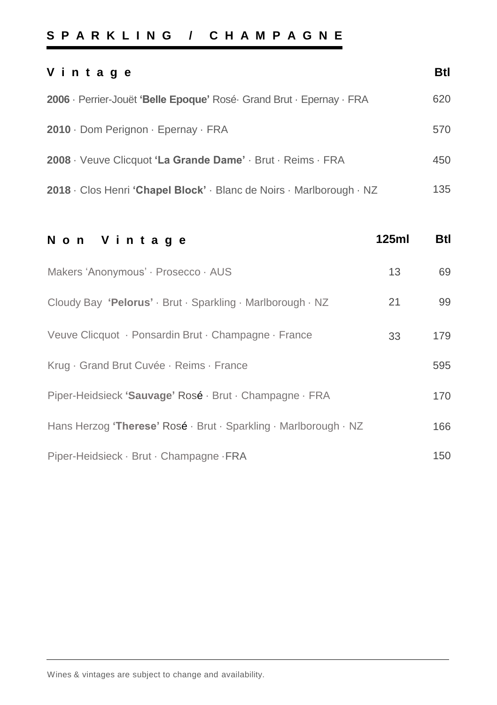### **S P A R K L I N G / C H A M P A G N E**

| Vintage                                                              | Btl |
|----------------------------------------------------------------------|-----|
| 2006 · Perrier-Jouët 'Belle Epoque' Rosé Grand Brut · Epernay · FRA  | 620 |
| $2010 \cdot$ Dom Perignon $\cdot$ Epernay $\cdot$ FRA                | 570 |
| 2008 · Veuve Clicquot 'La Grande Dame' · Brut · Reims · FRA          | 450 |
| 2018 · Clos Henri 'Chapel Block' · Blanc de Noirs · Marlborough · NZ | 135 |

| Non Vintage                                                      | 125ml | Btl |
|------------------------------------------------------------------|-------|-----|
| Makers 'Anonymous' · Prosecco · AUS                              | 13    | 69  |
| Cloudy Bay 'Pelorus' · Brut · Sparkling · Marlborough · NZ       | 21    | 99  |
| Veuve Clicquot · Ponsardin Brut · Champagne · France             | 33    | 179 |
| Krug · Grand Brut Cuvée · Reims · France                         |       | 595 |
| Piper-Heidsieck 'Sauvage' Rosé · Brut · Champagne · FRA          |       | 170 |
| Hans Herzog 'Therese' Rosé · Brut · Sparkling · Marlborough · NZ |       | 166 |
| Piper-Heidsieck · Brut · Champagne · FRA                         |       | 150 |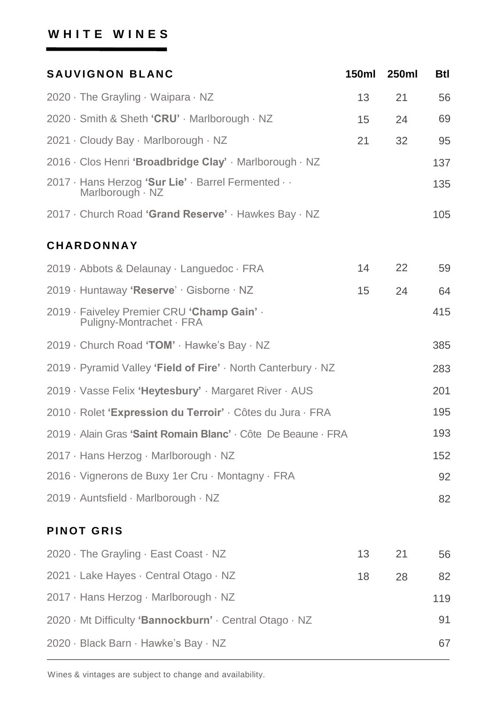### WHITE WINES

| <b>SAUVIGNON BLANC</b>                                                  | 150ml | 250ml | Btl |
|-------------------------------------------------------------------------|-------|-------|-----|
| 2020 · The Grayling · Waipara · NZ                                      | 13    | 21    | 56  |
| 2020 · Smith & Sheth 'CRU' · Marlborough · NZ                           | 15    | 24    | 69  |
| 2021 · Cloudy Bay · Marlborough · NZ                                    | 21    | 32    | 95  |
| 2016 · Clos Henri 'Broadbridge Clay' · Marlborough · NZ                 |       |       | 137 |
| 2017 · Hans Herzog 'Sur Lie' · Barrel Fermented · ·<br>Marlborough · NZ |       |       | 135 |
| 2017 · Church Road 'Grand Reserve' · Hawkes Bay · NZ                    |       |       | 105 |
| <b>CHARDONNAY</b>                                                       |       |       |     |
| 2019 · Abbots & Delaunay · Languedoc · FRA                              | 14    | 22    | 59  |
| 2019 · Huntaway 'Reserve' · Gisborne · NZ                               | 15    | 24    | 64  |
| 2019 · Faiveley Premier CRU 'Champ Gain' .<br>Puligny-Montrachet · FRA  |       |       | 415 |
| 2019 · Church Road 'TOM' · Hawke's Bay · NZ                             |       |       | 385 |
| 2019 · Pyramid Valley 'Field of Fire' · North Canterbury · NZ           |       |       | 283 |
| 2019 · Vasse Felix 'Heytesbury' · Margaret River · AUS                  |       |       | 201 |
| 2010 · Rolet 'Expression du Terroir' · Côtes du Jura · FRA              |       |       | 195 |
| 2019 · Alain Gras 'Saint Romain Blanc' · Côte De Beaune · FRA           |       |       | 193 |
| 2017 · Hans Herzog · Marlborough · NZ                                   |       |       | 152 |
| 2016 · Vignerons de Buxy 1er Cru · Montagny · FRA                       |       |       | 92  |
| 2019 · Auntsfield · Marlborough · NZ                                    |       |       | 82  |
| <b>PINOT GRIS</b>                                                       |       |       |     |
| $2020 \cdot$ The Grayling $\cdot$ East Coast $\cdot$ NZ                 | 13    | 21    | 56  |
| 2021 · Lake Hayes · Central Otago · NZ                                  | 18    | 28    | 82  |
| 2017 · Hans Herzog · Marlborough · NZ                                   |       |       | 119 |
| 2020 · Mt Difficulty 'Bannockburn' · Central Otago · NZ                 |       |       | 91  |
| 2020 · Black Barn · Hawke's Bay · NZ                                    |       |       | 67  |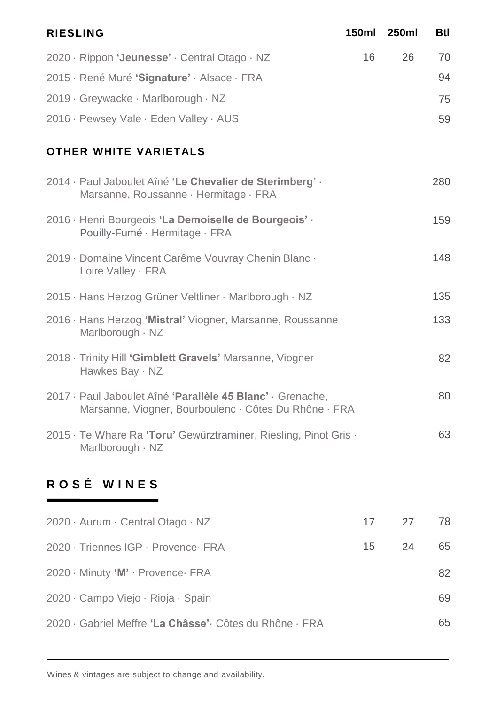| <b>RIESLING</b>                                                                                                     |    | 150ml 250ml | <b>Btl</b> |
|---------------------------------------------------------------------------------------------------------------------|----|-------------|------------|
| 2020 · Rippon 'Jeunesse' · Central Otago · NZ                                                                       | 16 | 26          | 70         |
| 2015 · René Muré 'Signature' · Alsace · FRA                                                                         |    |             | 94         |
| 2019 · Greywacke · Marlborough · NZ                                                                                 |    |             | 75         |
| 2016 · Pewsey Vale · Eden Valley · AUS                                                                              |    |             | 59         |
| <b>OTHER WHITE VARIETALS</b>                                                                                        |    |             |            |
| 2014 · Paul Jaboulet Aîné 'Le Chevalier de Sterimberg' ·<br>Marsanne, Roussanne · Hermitage · FRA                   |    |             | 280        |
| 2016 · Henri Bourgeois 'La Demoiselle de Bourgeois' ·<br>Pouilly-Fumé · Hermitage · FRA                             |    |             | 159        |
| 2019 · Domaine Vincent Carême Vouvray Chenin Blanc ·<br>Loire Valley · FRA                                          |    |             | 148        |
| 2015 · Hans Herzog Grüner Veltliner · Marlborough · NZ                                                              |    |             | 135        |
| 2016 · Hans Herzog 'Mistral' Viogner, Marsanne, Roussanne<br>Marlborough · NZ                                       |    |             | 133        |
| 2018 · Trinity Hill 'Gimblett Gravels' Marsanne, Viogner ·<br>Hawkes Bay · NZ                                       |    |             | 82         |
| 2017 · Paul Jaboulet Aîné 'Parallèle 45 Blanc' · Grenache,<br>Marsanne, Viogner, Bourboulenc · Côtes Du Rhône · FRA |    |             | 80         |
| 2015 · Te Whare Ra 'Toru' Gewürztraminer, Riesling, Pinot Gris ·<br>Marlborough · NZ                                |    |             | 63         |
| ROSÉ WINES                                                                                                          |    |             |            |

| 2020 · Aurum · Central Otago · NZ                        |    | 17 27 | 78 |
|----------------------------------------------------------|----|-------|----|
| 2020 · Triennes IGP · Provence · FRA                     | 15 | 24    | 65 |
| 2020 · Minuty 'M' · Provence · FRA                       |    |       | 82 |
| 2020 · Campo Viejo · Rioja · Spain                       |    |       | 69 |
| 2020 · Gabriel Meffre 'La Châsse' · Côtes du Rhône · FRA |    |       | 65 |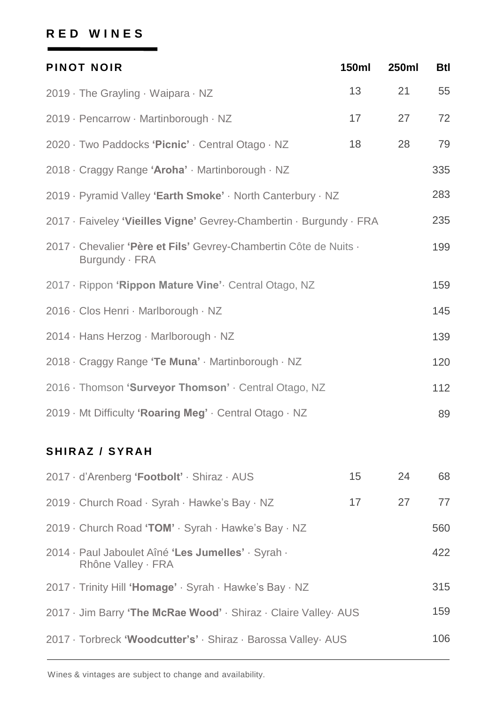### **R E D W I N E S**

| <b>PINOT NOIR</b>                                                                   | <b>150ml</b> | 250ml | <b>Btl</b> |
|-------------------------------------------------------------------------------------|--------------|-------|------------|
| 2019 · The Grayling · Waipara · NZ                                                  | 13           | 21    | 55         |
| 2019 · Pencarrow · Martinborough · NZ                                               | 17           | 27    | 72         |
| 2020 · Two Paddocks 'Picnic' · Central Otago · NZ                                   | 18           | 28    | 79         |
| 2018 · Craggy Range 'Aroha' · Martinborough · NZ                                    |              |       | 335        |
| 2019 · Pyramid Valley 'Earth Smoke' · North Canterbury · NZ                         |              |       | 283        |
| 2017 · Faiveley 'Vieilles Vigne' Gevrey-Chambertin · Burgundy · FRA                 |              |       | 235        |
| 2017 · Chevalier 'Père et Fils' Gevrey-Chambertin Côte de Nuits ·<br>Burgundy · FRA |              |       | 199        |
| 2017 · Rippon 'Rippon Mature Vine' Central Otago, NZ                                |              |       | 159        |
| 2016 · Clos Henri · Marlborough · NZ                                                |              |       | 145        |
| 2014 · Hans Herzog · Marlborough · NZ                                               |              |       | 139        |
| 2018 · Craggy Range 'Te Muna' · Martinborough · NZ                                  |              |       | 120        |
| 2016 · Thomson 'Surveyor Thomson' · Central Otago, NZ                               |              |       | 112        |
| 2019 · Mt Difficulty 'Roaring Meg' · Central Otago · NZ                             |              |       | 89         |

### SHIRAZ / SYRAH

| 2017 · d'Arenberg 'Footbolt' · Shiraz · AUS                              | 15 | 24 | 68  |
|--------------------------------------------------------------------------|----|----|-----|
| 2019 · Church Road · Syrah · Hawke's Bay · NZ                            | 17 | 27 | 77  |
| 2019 • Church Road 'TOM' • Syrah • Hawke's Bay • NZ                      |    |    | 560 |
| 2014 · Paul Jaboulet Aîné 'Les Jumelles' · Syrah ·<br>Rhône Valley · FRA |    |    | 422 |
| 2017 · Trinity Hill 'Homage' · Syrah · Hawke's Bay · NZ                  |    |    | 315 |
| 2017 • Jim Barry 'The McRae Wood' · Shiraz · Claire Valley AUS           |    |    | 159 |
| 2017 · Torbreck 'Woodcutter's' · Shiraz · Barossa Valley · AUS           |    |    | 106 |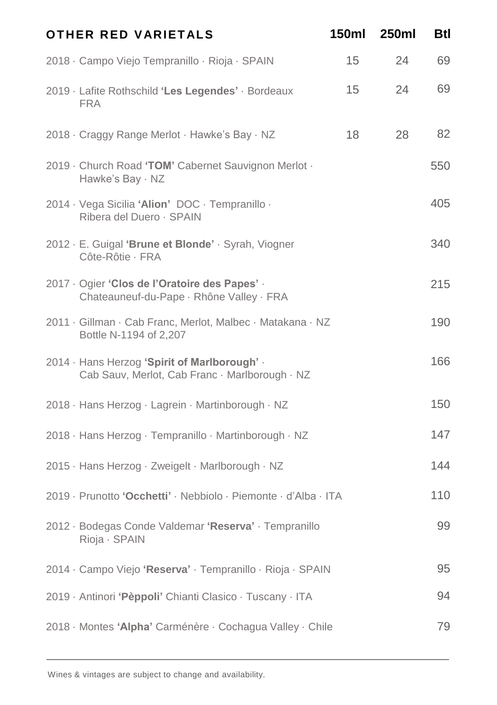| OTHER RED VARIETALS                                                                            | <b>150ml</b> | <b>250ml</b> | Btl |
|------------------------------------------------------------------------------------------------|--------------|--------------|-----|
| 2018 · Campo Viejo Tempranillo · Rioja · SPAIN                                                 | 15           | 24           | 69  |
| 2019 · Lafite Rothschild 'Les Legendes' · Bordeaux<br><b>FRA</b>                               | 15           | 24           | 69  |
| 2018 · Craggy Range Merlot · Hawke's Bay · NZ                                                  | 18           | 28           | 82  |
| 2019 · Church Road 'TOM' Cabernet Sauvignon Merlot ·<br>Hawke's Bay · NZ                       |              |              | 550 |
| 2014 · Vega Sicilia 'Alion' DOC · Tempranillo ·<br>Ribera del Duero · SPAIN                    |              |              | 405 |
| 2012 · E. Guigal 'Brune et Blonde' · Syrah, Viogner<br>Côte-Rôtie · FRA                        |              |              | 340 |
| 2017 · Ogier 'Clos de l'Oratoire des Papes' ·<br>Chateauneuf-du-Pape · Rhône Valley · FRA      |              |              | 215 |
| 2011 · Gillman · Cab Franc, Merlot, Malbec · Matakana · NZ<br>Bottle N-1194 of 2,207           |              |              | 190 |
| 2014 · Hans Herzog 'Spirit of Marlborough' ·<br>Cab Sauv, Merlot, Cab Franc · Marlborough · NZ |              |              | 166 |
| 2018 · Hans Herzog · Lagrein · Martinborough · NZ                                              |              |              | 150 |
| 2018 · Hans Herzog · Tempranillo · Martinborough · NZ                                          |              |              | 147 |
| 2015 · Hans Herzog · Zweigelt · Marlborough · NZ                                               |              |              | 144 |
| 2019 · Prunotto 'Occhetti' · Nebbiolo · Piemonte · d'Alba · ITA                                |              |              | 110 |
| 2012 · Bodegas Conde Valdemar 'Reserva' · Tempranillo<br>Rioja · SPAIN                         |              |              | 99  |
| 2014 · Campo Viejo 'Reserva' · Tempranillo · Rioja · SPAIN                                     |              |              | 95  |
| 2019 · Antinori 'Pèppoli' Chianti Clasico · Tuscany · ITA                                      |              |              | 94  |
| 2018 · Montes 'Alpha' Carménère · Cochagua Valley · Chile                                      |              |              | 79  |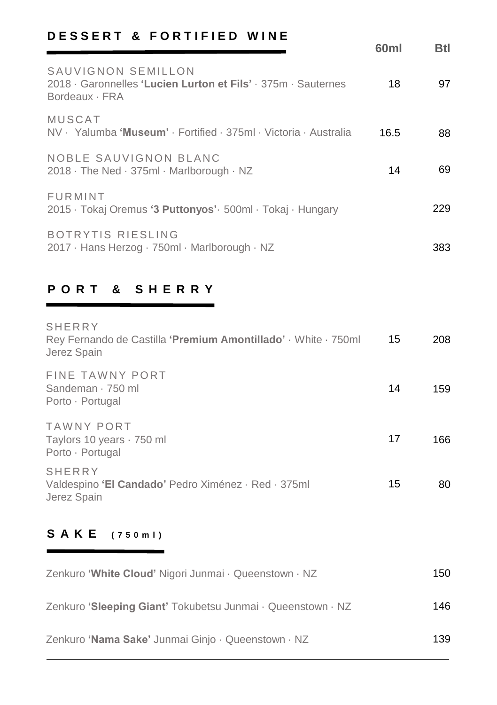## **DESSERT & FORTIFIED WINE**

|                                                                                                     | 60 <sub>ml</sub> | <b>Btl</b> |
|-----------------------------------------------------------------------------------------------------|------------------|------------|
| SAUVIGNON SEMILLON<br>2018 Garonnelles 'Lucien Lurton et Fils' · 375m · Sauternes<br>Bordeaux · FRA | 18               | 97         |
| <b>MUSCAT</b><br>NV · Yalumba 'Museum' · Fortified · 375ml · Victoria · Australia                   | 16.5             | 88         |
| NOBLE SAUVIGNON BLANC<br>2018 · The Ned · 375ml · Marlborough · NZ                                  | 14               | 69         |
| <b>FURMINT</b><br>2015 · Tokaj Oremus '3 Puttonyos' · 500ml · Tokaj · Hungary                       |                  | 229        |
| BOTRYTIS RIESLING<br>2017 · Hans Herzog · 750ml · Marlborough · NZ                                  |                  | 383.       |

### **P O R T & S H E R R Y**

| <b>SHERRY</b><br>Rey Fernando de Castilla 'Premium Amontillado' · White · 750ml<br>Jerez Spain | 15 | 208  |
|------------------------------------------------------------------------------------------------|----|------|
| FINE TAWNY PORT<br>Sandeman · 750 ml<br>Porto · Portugal                                       | 14 | 159  |
| TAWNY PORT<br>Taylors 10 years · 750 ml<br>Porto · Portugal                                    | 17 | 166. |
| <b>SHERRY</b><br>Valdespino 'El Candado' Pedro Ximénez · Red · 375ml<br>Jerez Spain            | 15 | 80   |

## **S A K E ( 7 5 0 m l )**

 $\sim$ 

| Zenkuro 'White Cloud' Nigori Junmai · Queenstown · NZ       | 150  |
|-------------------------------------------------------------|------|
| Zenkuro 'Sleeping Giant' Tokubetsu Junmai · Queenstown · NZ | 146  |
| Zenkuro 'Nama Sake' Junmai Ginjo · Queenstown · NZ          | 139. |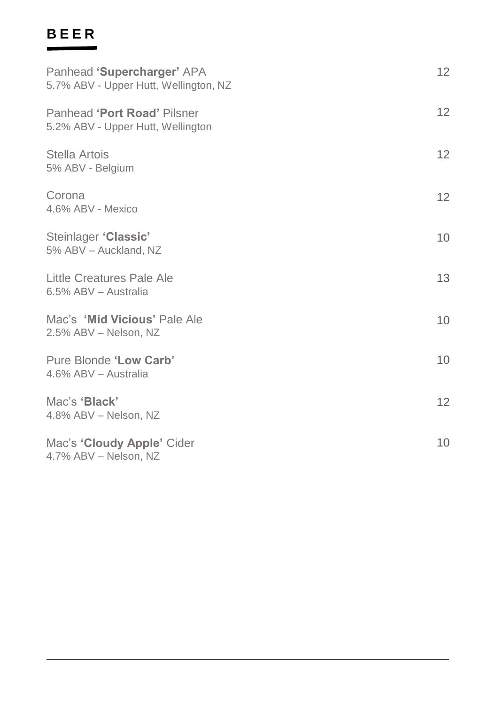#### **B E E R**

| Panhead 'Supercharger' APA<br>5.7% ABV - Upper Hutt, Wellington, NZ | 12 <sup>2</sup> |
|---------------------------------------------------------------------|-----------------|
| Panhead 'Port Road' Pilsner<br>5.2% ABV - Upper Hutt, Wellington    | 12              |
| Stella Artois<br>5% ABV - Belgium                                   | 12              |
| Corona<br>4.6% ABV - Mexico                                         | 12              |
| Steinlager 'Classic'<br>5% ABV - Auckland, NZ                       | 10 <sup>°</sup> |
| Little Creatures Pale Ale<br>6.5% ABV - Australia                   | 13              |
| Mac's 'Mid Vicious' Pale Ale<br>2.5% ABV - Nelson, NZ               | 10 <sup>°</sup> |
| Pure Blonde 'Low Carb'<br>4.6% ABV - Australia                      | 10 <sup>1</sup> |
| Mac's 'Black'<br>4.8% ABV - Nelson, NZ                              | 12              |
| Mac's 'Cloudy Apple' Cider<br>4.7% ABV - Nelson, NZ                 | 10 <sup>1</sup> |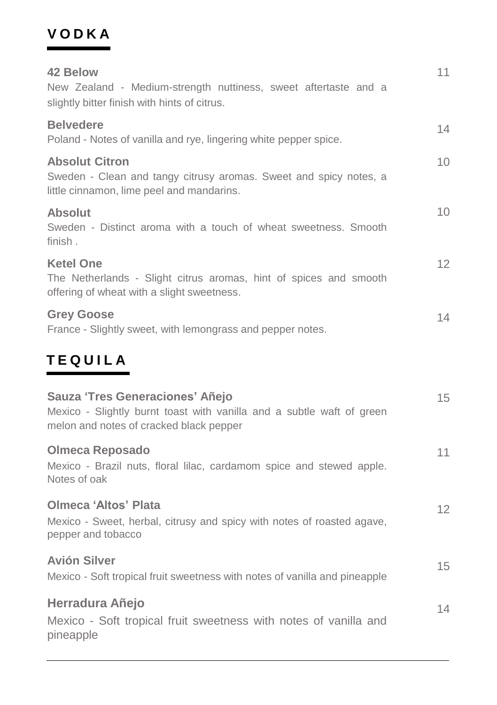## **V O D K A**

| 42 Below<br>New Zealand - Medium-strength nuttiness, sweet aftertaste and a<br>slightly bitter finish with hints of citrus.                         | 11 |
|-----------------------------------------------------------------------------------------------------------------------------------------------------|----|
| <b>Belvedere</b><br>Poland - Notes of vanilla and rye, lingering white pepper spice.                                                                | 14 |
| <b>Absolut Citron</b><br>Sweden - Clean and tangy citrusy aromas. Sweet and spicy notes, a<br>little cinnamon, lime peel and mandarins.             | 10 |
| <b>Absolut</b><br>Sweden - Distinct aroma with a touch of wheat sweetness. Smooth<br>finish.                                                        | 10 |
| <b>Ketel One</b><br>The Netherlands - Slight citrus aromas, hint of spices and smooth<br>offering of wheat with a slight sweetness.                 | 12 |
| <b>Grey Goose</b><br>France - Slightly sweet, with lemongrass and pepper notes.                                                                     | 14 |
| <b>TEQUILA</b>                                                                                                                                      |    |
| Sauza 'Tres Generaciones' Añejo<br>Mexico - Slightly burnt toast with vanilla and a subtle waft of green<br>melon and notes of cracked black pepper | 15 |
| <b>Olmeca Reposado</b><br>Mexico - Brazil nuts, floral lilac, cardamom spice and stewed apple.<br>Notes of oak                                      | 11 |
| Olmeca 'Altos' Plata<br>Mexico - Sweet, herbal, citrusy and spicy with notes of roasted agave,<br>pepper and tobacco                                | 12 |
| <b>Avión Silver</b><br>Mexico - Soft tropical fruit sweetness with notes of vanilla and pineapple                                                   | 15 |
| Herradura Añejo<br>Mexico - Soft tropical fruit sweetness with notes of vanilla and<br>pineapple                                                    | 14 |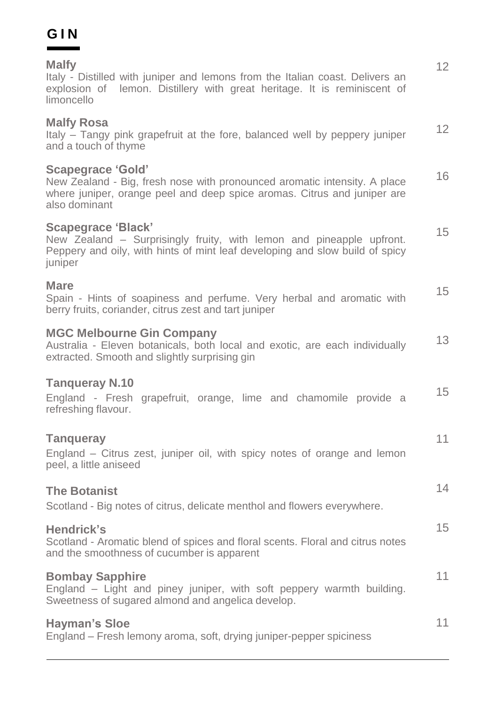#### **G I N Contract**

| <b>Malfy</b><br>Italy - Distilled with juniper and lemons from the Italian coast. Delivers an<br>explosion of lemon. Distillery with great heritage. It is reminiscent of<br>limoncello            | 12 |
|----------------------------------------------------------------------------------------------------------------------------------------------------------------------------------------------------|----|
| <b>Malfy Rosa</b><br>Italy - Tangy pink grapefruit at the fore, balanced well by peppery juniper<br>and a touch of thyme                                                                           | 12 |
| <b>Scapegrace 'Gold'</b><br>New Zealand - Big, fresh nose with pronounced aromatic intensity. A place<br>where juniper, orange peel and deep spice aromas. Citrus and juniper are<br>also dominant | 16 |
| <b>Scapegrace 'Black'</b><br>New Zealand - Surprisingly fruity, with lemon and pineapple upfront.<br>Peppery and oily, with hints of mint leaf developing and slow build of spicy<br>juniper       | 15 |
| Mare<br>Spain - Hints of soapiness and perfume. Very herbal and aromatic with<br>berry fruits, coriander, citrus zest and tart juniper                                                             | 15 |
| <b>MGC Melbourne Gin Company</b><br>Australia - Eleven botanicals, both local and exotic, are each individually<br>extracted. Smooth and slightly surprising gin                                   | 13 |
| <b>Tanqueray N.10</b><br>England - Fresh grapefruit, orange, lime and chamomile provide a<br>refreshing flavour.                                                                                   | 15 |
| <b>Tanqueray</b><br>England – Citrus zest, juniper oil, with spicy notes of orange and lemon<br>peel, a little aniseed                                                                             | 11 |
| <b>The Botanist</b><br>Scotland - Big notes of citrus, delicate menthol and flowers everywhere.                                                                                                    | 14 |
| Hendrick's<br>Scotland - Aromatic blend of spices and floral scents. Floral and citrus notes<br>and the smoothness of cucumber is apparent                                                         | 15 |
| <b>Bombay Sapphire</b><br>England - Light and piney juniper, with soft peppery warmth building.<br>Sweetness of sugared almond and angelica develop.                                               | 11 |
| <b>Hayman's Sloe</b><br>England - Fresh lemony aroma, soft, drying juniper-pepper spiciness                                                                                                        | 11 |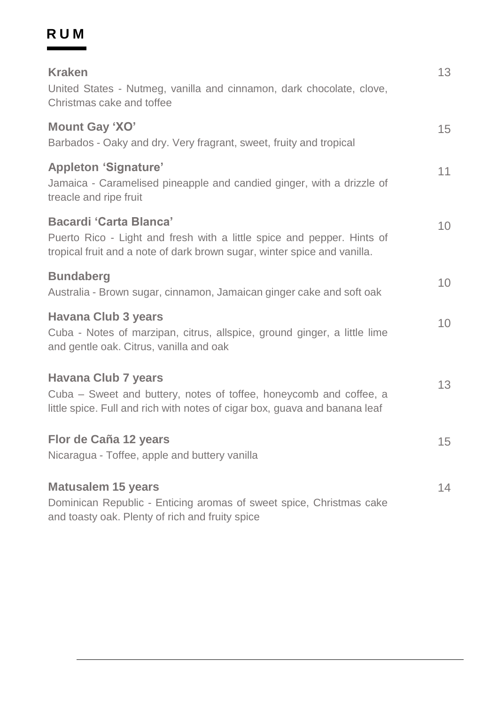#### **RUM** $\sim$

| <b>Kraken</b><br>United States - Nutmeg, vanilla and cinnamon, dark chocolate, clove,<br>Christmas cake and toffee                                                                  | 13 |
|-------------------------------------------------------------------------------------------------------------------------------------------------------------------------------------|----|
| Mount Gay 'XO'<br>Barbados - Oaky and dry. Very fragrant, sweet, fruity and tropical                                                                                                | 15 |
| <b>Appleton 'Signature'</b><br>Jamaica - Caramelised pineapple and candied ginger, with a drizzle of<br>treacle and ripe fruit                                                      | 11 |
| <b>Bacardi 'Carta Blanca'</b><br>Puerto Rico - Light and fresh with a little spice and pepper. Hints of<br>tropical fruit and a note of dark brown sugar, winter spice and vanilla. | 10 |
| <b>Bundaberg</b><br>Australia - Brown sugar, cinnamon, Jamaican ginger cake and soft oak                                                                                            | 10 |
| <b>Havana Club 3 years</b><br>Cuba - Notes of marzipan, citrus, allspice, ground ginger, a little lime<br>and gentle oak. Citrus, vanilla and oak                                   | 10 |
| <b>Havana Club 7 years</b><br>Cuba - Sweet and buttery, notes of toffee, honeycomb and coffee, a<br>little spice. Full and rich with notes of cigar box, guava and banana leaf      | 13 |
| Flor de Caña 12 years<br>Nicaragua - Toffee, apple and buttery vanilla                                                                                                              | 15 |
| <b>Matusalem 15 years</b><br>Dominican Republic - Enticing aromas of sweet spice, Christmas cake<br>and toasty oak. Plenty of rich and fruity spice                                 | 14 |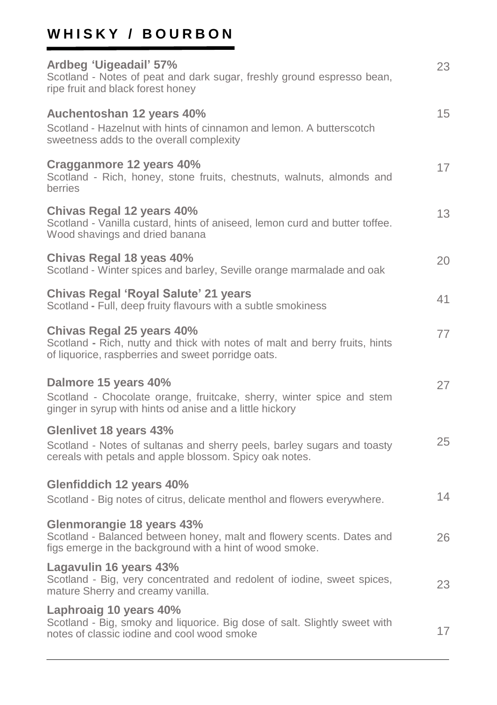# WHISKY / BOURBON

| Ardbeg 'Uigeadail' 57%<br>Scotland - Notes of peat and dark sugar, freshly ground espresso bean,<br>ripe fruit and black forest honey                          | 23 |
|----------------------------------------------------------------------------------------------------------------------------------------------------------------|----|
| Auchentoshan 12 years 40%<br>Scotland - Hazelnut with hints of cinnamon and lemon. A butterscotch<br>sweetness adds to the overall complexity                  | 15 |
| Cragganmore 12 years 40%<br>Scotland - Rich, honey, stone fruits, chestnuts, walnuts, almonds and<br>berries                                                   | 17 |
| Chivas Regal 12 years 40%<br>Scotland - Vanilla custard, hints of aniseed, lemon curd and butter toffee.<br>Wood shavings and dried banana                     | 13 |
| Chivas Regal 18 yeas 40%<br>Scotland - Winter spices and barley, Seville orange marmalade and oak                                                              | 20 |
| Chivas Regal 'Royal Salute' 21 years<br>Scotland - Full, deep fruity flavours with a subtle smokiness                                                          | 41 |
| Chivas Regal 25 years 40%<br>Scotland - Rich, nutty and thick with notes of malt and berry fruits, hints<br>of liquorice, raspberries and sweet porridge oats. | 77 |
| Dalmore 15 years 40%<br>Scotland - Chocolate orange, fruitcake, sherry, winter spice and stem<br>ginger in syrup with hints od anise and a little hickory      | 27 |
| Glenlivet 18 years 43%<br>Scotland - Notes of sultanas and sherry peels, barley sugars and toasty<br>cereals with petals and apple blossom. Spicy oak notes.   | 25 |
| Glenfiddich 12 years 40%<br>Scotland - Big notes of citrus, delicate menthol and flowers everywhere.                                                           | 14 |
| Glenmorangie 18 years 43%<br>Scotland - Balanced between honey, malt and flowery scents. Dates and<br>figs emerge in the background with a hint of wood smoke. | 26 |
| Lagavulin 16 years 43%<br>Scotland - Big, very concentrated and redolent of iodine, sweet spices,<br>mature Sherry and creamy vanilla.                         | 23 |
| Laphroaig 10 years 40%<br>Scotland - Big, smoky and liquorice. Big dose of salt. Slightly sweet with<br>notes of classic iodine and cool wood smoke            | 17 |
|                                                                                                                                                                |    |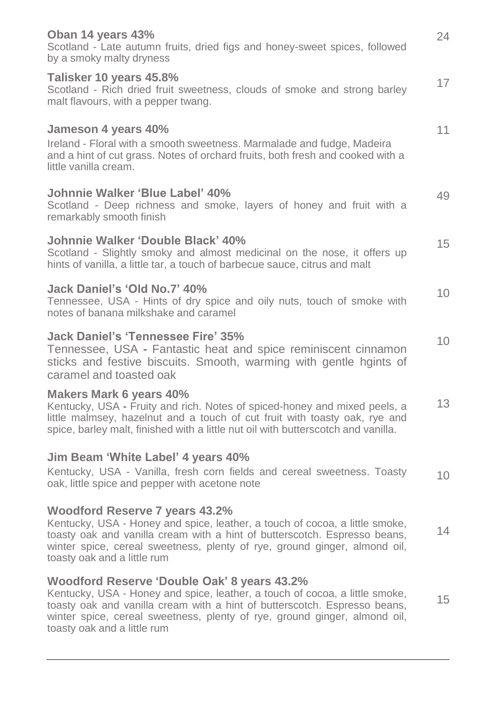| Oban 14 years 43%<br>Scotland - Late autumn fruits, dried figs and honey-sweet spices, followed<br>by a smoky malty dryness                                                                                                                                                                                         | 24 |
|---------------------------------------------------------------------------------------------------------------------------------------------------------------------------------------------------------------------------------------------------------------------------------------------------------------------|----|
| Talisker 10 years 45.8%<br>Scotland - Rich dried fruit sweetness, clouds of smoke and strong barley<br>malt flavours, with a pepper twang.                                                                                                                                                                          | 17 |
| Jameson 4 years 40%<br>Ireland - Floral with a smooth sweetness. Marmalade and fudge, Madeira<br>and a hint of cut grass. Notes of orchard fruits, both fresh and cooked with a<br>little vanilla cream.                                                                                                            | 11 |
| <b>Johnnie Walker 'Blue Label' 40%</b><br>Scotland - Deep richness and smoke, layers of honey and fruit with a<br>remarkably smooth finish                                                                                                                                                                          | 49 |
| <b>Johnnie Walker 'Double Black' 40%</b><br>Scotland - Slightly smoky and almost medicinal on the nose, it offers up<br>hints of vanilla, a little tar, a touch of barbecue sauce, citrus and malt                                                                                                                  | 15 |
| Jack Daniel's 'Old No.7' 40%<br>Tennessee, USA - Hints of dry spice and oily nuts, touch of smoke with<br>notes of banana milkshake and caramel                                                                                                                                                                     | 10 |
| <b>Jack Daniel's 'Tennessee Fire' 35%</b><br>Tennessee, USA - Fantastic heat and spice reminiscent cinnamon<br>sticks and festive biscuits. Smooth, warming with gentle hgints of<br>caramel and toasted oak                                                                                                        | 10 |
| <b>Makers Mark 6 years 40%</b><br>Kentucky, USA - Fruity and rich. Notes of spiced-honey and mixed peels, a<br>little malmsey, hazelnut and a touch of cut fruit with toasty oak, rye and<br>spice, barley malt, finished with a little nut oil with butterscotch and vanilla.                                      | 13 |
| Jim Beam 'White Label' 4 years 40%<br>Kentucky, USA - Vanilla, fresh corn fields and cereal sweetness. Toasty<br>oak, little spice and pepper with acetone note                                                                                                                                                     | 10 |
| <b>Woodford Reserve 7 years 43.2%</b><br>Kentucky, USA - Honey and spice, leather, a touch of cocoa, a little smoke,<br>toasty oak and vanilla cream with a hint of butterscotch. Espresso beans,<br>winter spice, cereal sweetness, plenty of rye, ground ginger, almond oil,<br>toasty oak and a little rum       | 14 |
| Woodford Reserve 'Double Oak' 8 years 43.2%<br>Kentucky, USA - Honey and spice, leather, a touch of cocoa, a little smoke,<br>toasty oak and vanilla cream with a hint of butterscotch. Espresso beans,<br>winter spice, cereal sweetness, plenty of rye, ground ginger, almond oil,<br>toasty oak and a little rum | 15 |
|                                                                                                                                                                                                                                                                                                                     |    |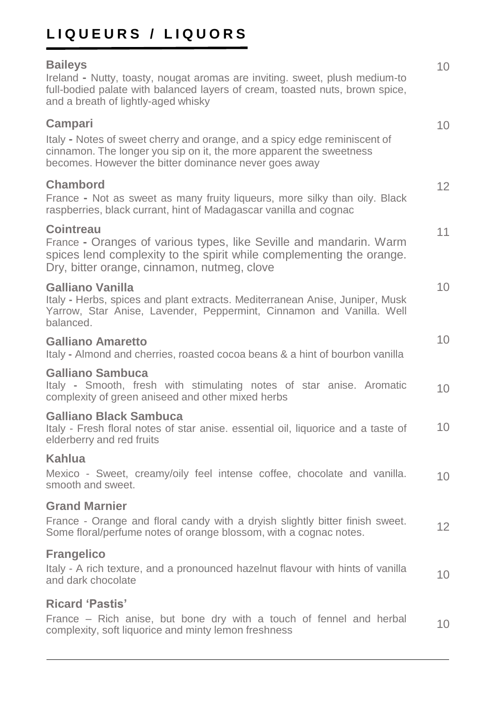# **L I Q U E U R S / L I Q U O R S**

#### **Baileys** Ireland **-** Nutty, toasty, nougat aromas are inviting. sweet, plush medium-to full-bodied palate with balanced layers of cream, toasted nuts, brown spice, and a breath of lightly-aged whisky **Campari**  Italy **-** Notes of sweet cherry and orange, and a spicy edge reminiscent of cinnamon. The longer you sip on it, the more apparent the sweetness becomes. However the bitter dominance never goes away **Chambord** France **-** Not as sweet as many fruity liqueurs, more silky than oily. Black raspberries, black currant, hint of Madagascar vanilla and cognac **Cointreau** France **-** Oranges of various types, like Seville and mandarin. Warm spices lend complexity to the spirit while complementing the orange. Dry, bitter orange, cinnamon, nutmeg, clove **Galliano Vanilla** Italy **-** Herbs, spices and plant extracts. Mediterranean Anise, Juniper, Musk Yarrow, Star Anise, Lavender, Peppermint, Cinnamon and Vanilla. Well balanced. **Galliano Amaretto** Italy **-** Almond and cherries, roasted cocoa beans & a hint of bourbon vanilla **Galliano Sambuca** Italy **-** Smooth, fresh with stimulating notes of star anise. Aromatic complexity of green aniseed and other mixed herbs **Galliano Black Sambuca** Italy - Fresh floral notes of star anise. essential oil, liquorice and a taste of elderberry and red fruits **Kahlua** Mexico - Sweet, creamy/oily feel intense coffee, chocolate and vanilla. smooth and sweet. **Grand Marnier** France - Orange and floral candy with a dryish slightly bitter finish sweet. Some floral/perfume notes of orange blossom, with a cognac notes. **Frangelico** Italy - A rich texture, and a pronounced hazelnut flavour with hints of vanilla and dark chocolate **Ricard 'Pastis'** 10 10 12 11 10 10  $1<sub>0</sub>$ 10 10 12 10

France – Rich anise, but bone dry with a touch of fennel and herbal complexity, soft liquorice and minty lemon freshness  $1<sub>0</sub>$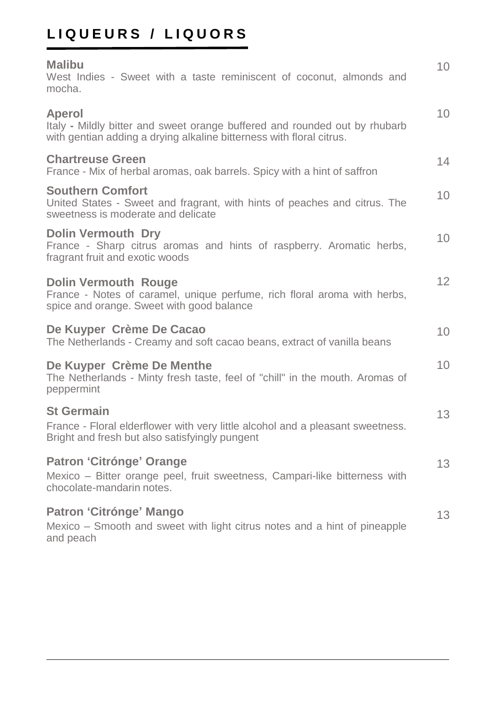# **L I Q U E U R S / L I Q U O R S**

| <b>Malibu</b><br>West Indies - Sweet with a taste reminiscent of coconut, almonds and<br>mocha.                                                              | 10 |
|--------------------------------------------------------------------------------------------------------------------------------------------------------------|----|
| Aperol<br>Italy - Mildly bitter and sweet orange buffered and rounded out by rhubarb<br>with gentian adding a drying alkaline bitterness with floral citrus. | 10 |
| <b>Chartreuse Green</b><br>France - Mix of herbal aromas, oak barrels. Spicy with a hint of saffron                                                          | 14 |
| <b>Southern Comfort</b><br>United States - Sweet and fragrant, with hints of peaches and citrus. The<br>sweetness is moderate and delicate                   | 10 |
| <b>Dolin Vermouth Dry</b><br>France - Sharp citrus aromas and hints of raspberry. Aromatic herbs,<br>fragrant fruit and exotic woods                         | 10 |
| <b>Dolin Vermouth Rouge</b><br>France - Notes of caramel, unique perfume, rich floral aroma with herbs,<br>spice and orange. Sweet with good balance         | 12 |
| De Kuyper Crème De Cacao<br>The Netherlands - Creamy and soft cacao beans, extract of vanilla beans                                                          | 10 |
| De Kuyper Crème De Menthe<br>The Netherlands - Minty fresh taste, feel of "chill" in the mouth. Aromas of<br>peppermint                                      | 10 |
| <b>St Germain</b><br>France - Floral elderflower with very little alcohol and a pleasant sweetness.<br>Bright and fresh but also satisfyingly pungent        | 13 |
| Patron 'Citrónge' Orange<br>Mexico – Bitter orange peel, fruit sweetness, Campari-like bitterness with<br>chocolate-mandarin notes.                          | 13 |
| Patron 'Citrónge' Mango<br>Mexico - Smooth and sweet with light citrus notes and a hint of pineapple<br>and peach                                            | 13 |